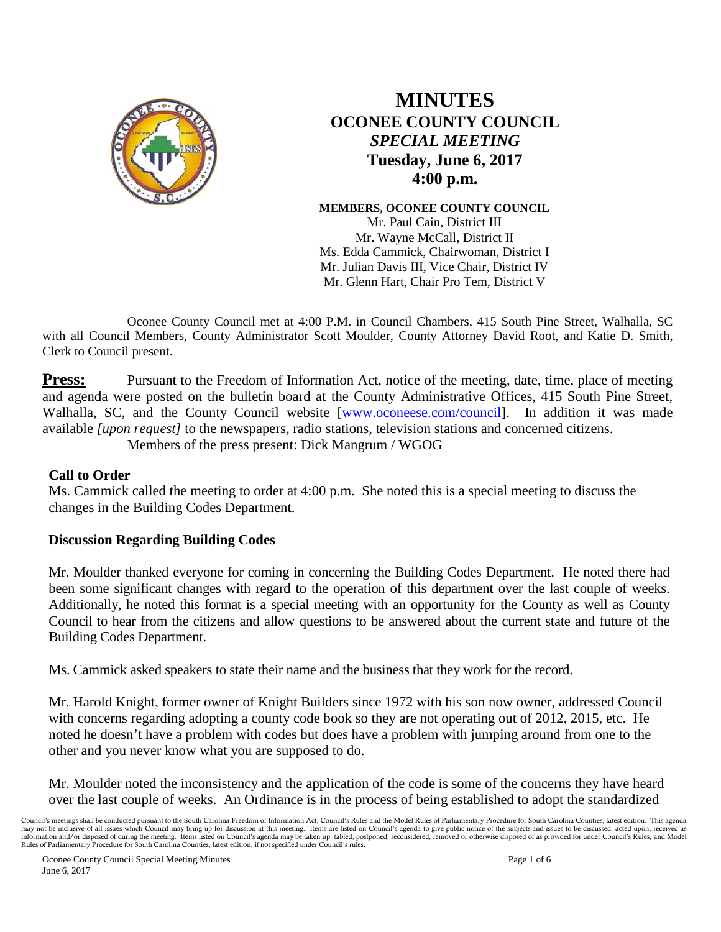

# **MINUTES OCONEE COUNTY COUNCIL**  *SPECIAL MEETING* **Tuesday, June 6, 2017 4:00 p.m.**

**MEMBERS, OCONEE COUNTY COUNCIL** Mr. Paul Cain, District III Mr. Wayne McCall, District II Ms. Edda Cammick, Chairwoman, District I Mr. Julian Davis III, Vice Chair, District IV Mr. Glenn Hart, Chair Pro Tem, District V

Oconee County Council met at 4:00 P.M. in Council Chambers, 415 South Pine Street, Walhalla, SC with all Council Members, County Administrator Scott Moulder, County Attorney David Root, and Katie D. Smith, Clerk to Council present.

**Press:** Pursuant to the Freedom of Information Act, notice of the meeting, date, time, place of meeting and agenda were posted on the bulletin board at the County Administrative Offices, 415 South Pine Street, Walhalla, SC, and the County Council website [\[www.oconeese.com/council\]](http://www.oconeese.com/council). In addition it was made available *[upon request]* to the newspapers, radio stations, television stations and concerned citizens. Members of the press present: Dick Mangrum / WGOG

#### **Call to Order**

Ms. Cammick called the meeting to order at 4:00 p.m. She noted this is a special meeting to discuss the changes in the Building Codes Department.

#### **Discussion Regarding Building Codes**

Mr. Moulder thanked everyone for coming in concerning the Building Codes Department. He noted there had been some significant changes with regard to the operation of this department over the last couple of weeks. Additionally, he noted this format is a special meeting with an opportunity for the County as well as County Council to hear from the citizens and allow questions to be answered about the current state and future of the Building Codes Department.

Ms. Cammick asked speakers to state their name and the business that they work for the record.

Mr. Harold Knight, former owner of Knight Builders since 1972 with his son now owner, addressed Council with concerns regarding adopting a county code book so they are not operating out of 2012, 2015, etc. He noted he doesn't have a problem with codes but does have a problem with jumping around from one to the other and you never know what you are supposed to do.

Mr. Moulder noted the inconsistency and the application of the code is some of the concerns they have heard over the last couple of weeks. An Ordinance is in the process of being established to adopt the standardized

Council's meetings shall be conducted pursuant to the South Carolina Freedom of Information Act, Council's Rules and the Model Rules of Parliamentary Procedure for South Carolina Counties, latest edition. This agenda may not be inclusive of all issues which Council may bring up for discussion at this meeting. Items are listed on Council's agenda to give public notice of the subjects and issues to be discussed, acted upon, received as information and/or disposed of during the meeting. Items listed on Council's agenda may be taken up, tabled, postponed, reconsidered, removed or otherwise disposed of as provided for under Council's Rules, and Model Rules of Parliamentary Procedure for South Carolina Counties, latest edition, if not specified under Council's rules.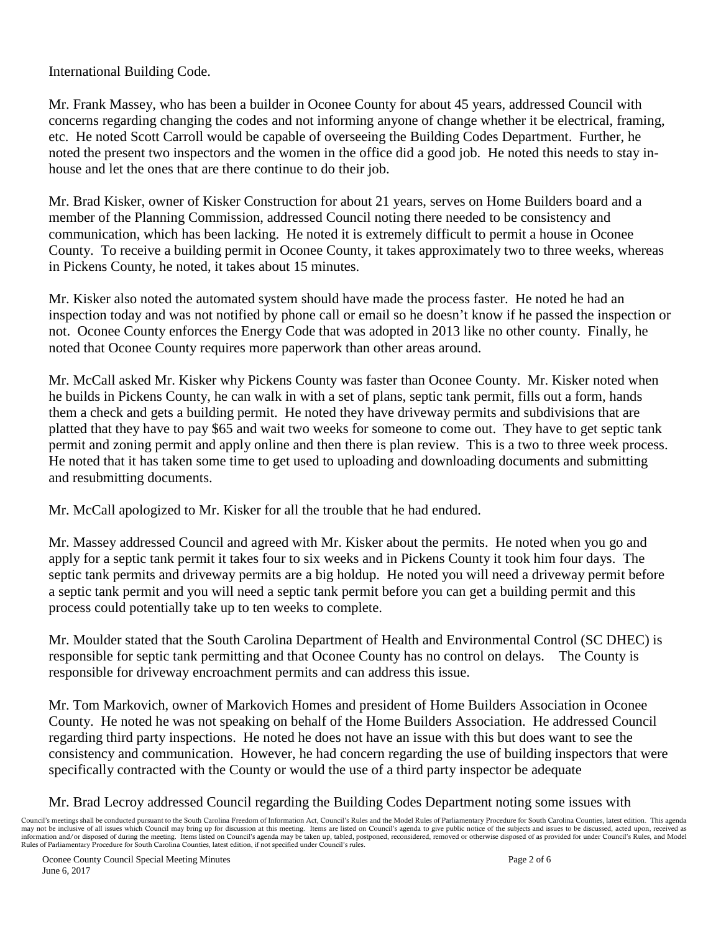International Building Code.

Mr. Frank Massey, who has been a builder in Oconee County for about 45 years, addressed Council with concerns regarding changing the codes and not informing anyone of change whether it be electrical, framing, etc. He noted Scott Carroll would be capable of overseeing the Building Codes Department. Further, he noted the present two inspectors and the women in the office did a good job. He noted this needs to stay inhouse and let the ones that are there continue to do their job.

Mr. Brad Kisker, owner of Kisker Construction for about 21 years, serves on Home Builders board and a member of the Planning Commission, addressed Council noting there needed to be consistency and communication, which has been lacking. He noted it is extremely difficult to permit a house in Oconee County. To receive a building permit in Oconee County, it takes approximately two to three weeks, whereas in Pickens County, he noted, it takes about 15 minutes.

Mr. Kisker also noted the automated system should have made the process faster. He noted he had an inspection today and was not notified by phone call or email so he doesn't know if he passed the inspection or not. Oconee County enforces the Energy Code that was adopted in 2013 like no other county. Finally, he noted that Oconee County requires more paperwork than other areas around.

Mr. McCall asked Mr. Kisker why Pickens County was faster than Oconee County. Mr. Kisker noted when he builds in Pickens County, he can walk in with a set of plans, septic tank permit, fills out a form, hands them a check and gets a building permit. He noted they have driveway permits and subdivisions that are platted that they have to pay \$65 and wait two weeks for someone to come out. They have to get septic tank permit and zoning permit and apply online and then there is plan review. This is a two to three week process. He noted that it has taken some time to get used to uploading and downloading documents and submitting and resubmitting documents.

Mr. McCall apologized to Mr. Kisker for all the trouble that he had endured.

Mr. Massey addressed Council and agreed with Mr. Kisker about the permits. He noted when you go and apply for a septic tank permit it takes four to six weeks and in Pickens County it took him four days. The septic tank permits and driveway permits are a big holdup. He noted you will need a driveway permit before a septic tank permit and you will need a septic tank permit before you can get a building permit and this process could potentially take up to ten weeks to complete.

Mr. Moulder stated that the South Carolina Department of Health and Environmental Control (SC DHEC) is responsible for septic tank permitting and that Oconee County has no control on delays. The County is responsible for driveway encroachment permits and can address this issue.

Mr. Tom Markovich, owner of Markovich Homes and president of Home Builders Association in Oconee County. He noted he was not speaking on behalf of the Home Builders Association. He addressed Council regarding third party inspections. He noted he does not have an issue with this but does want to see the consistency and communication. However, he had concern regarding the use of building inspectors that were specifically contracted with the County or would the use of a third party inspector be adequate

## Mr. Brad Lecroy addressed Council regarding the Building Codes Department noting some issues with

Council's meetings shall be conducted pursuant to the South Carolina Freedom of Information Act, Council's Rules and the Model Rules of Parliamentary Procedure for South Carolina Counties, latest edition. This agenda may not be inclusive of all issues which Council may bring up for discussion at this meeting. Items are listed on Council's agenda to give public notice of the subjects and issues to be discussed, acted upon, received as information and/or disposed of during the meeting. Items listed on Council's agenda may be taken up, tabled, postponed, reconsidered, removed or otherwise disposed of as provided for under Council's Rules, and Model Rules of Parliamentary Procedure for South Carolina Counties, latest edition, if not specified under Council's rules.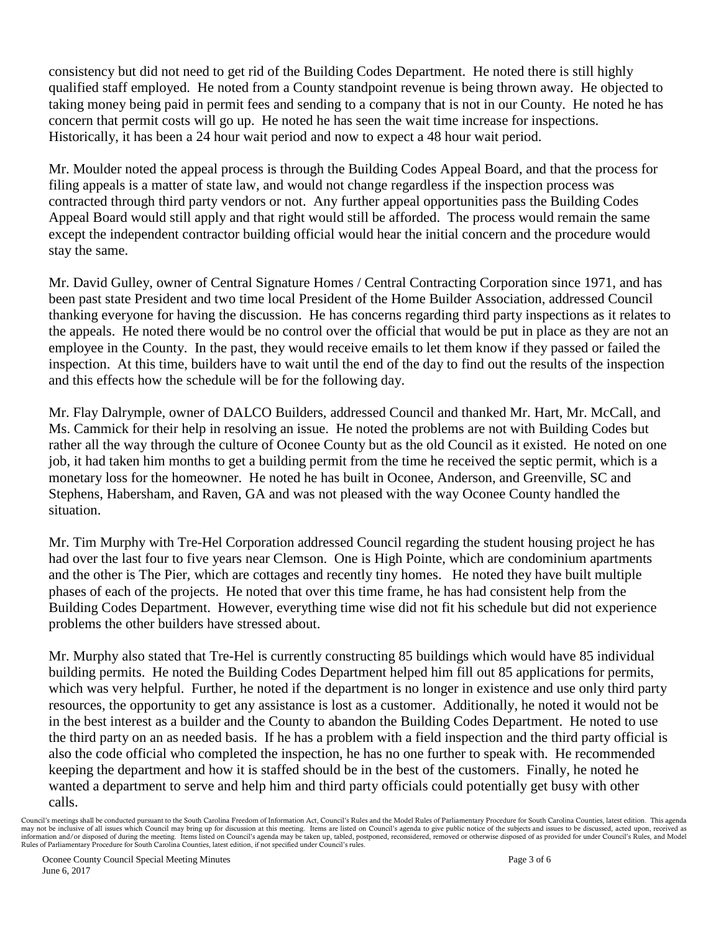consistency but did not need to get rid of the Building Codes Department. He noted there is still highly qualified staff employed. He noted from a County standpoint revenue is being thrown away. He objected to taking money being paid in permit fees and sending to a company that is not in our County. He noted he has concern that permit costs will go up. He noted he has seen the wait time increase for inspections. Historically, it has been a 24 hour wait period and now to expect a 48 hour wait period.

Mr. Moulder noted the appeal process is through the Building Codes Appeal Board, and that the process for filing appeals is a matter of state law, and would not change regardless if the inspection process was contracted through third party vendors or not. Any further appeal opportunities pass the Building Codes Appeal Board would still apply and that right would still be afforded. The process would remain the same except the independent contractor building official would hear the initial concern and the procedure would stay the same.

Mr. David Gulley, owner of Central Signature Homes / Central Contracting Corporation since 1971, and has been past state President and two time local President of the Home Builder Association, addressed Council thanking everyone for having the discussion. He has concerns regarding third party inspections as it relates to the appeals. He noted there would be no control over the official that would be put in place as they are not an employee in the County. In the past, they would receive emails to let them know if they passed or failed the inspection. At this time, builders have to wait until the end of the day to find out the results of the inspection and this effects how the schedule will be for the following day.

Mr. Flay Dalrymple, owner of DALCO Builders, addressed Council and thanked Mr. Hart, Mr. McCall, and Ms. Cammick for their help in resolving an issue. He noted the problems are not with Building Codes but rather all the way through the culture of Oconee County but as the old Council as it existed. He noted on one job, it had taken him months to get a building permit from the time he received the septic permit, which is a monetary loss for the homeowner. He noted he has built in Oconee, Anderson, and Greenville, SC and Stephens, Habersham, and Raven, GA and was not pleased with the way Oconee County handled the situation.

Mr. Tim Murphy with Tre-Hel Corporation addressed Council regarding the student housing project he has had over the last four to five years near Clemson. One is High Pointe, which are condominium apartments and the other is The Pier, which are cottages and recently tiny homes. He noted they have built multiple phases of each of the projects. He noted that over this time frame, he has had consistent help from the Building Codes Department. However, everything time wise did not fit his schedule but did not experience problems the other builders have stressed about.

Mr. Murphy also stated that Tre-Hel is currently constructing 85 buildings which would have 85 individual building permits. He noted the Building Codes Department helped him fill out 85 applications for permits, which was very helpful. Further, he noted if the department is no longer in existence and use only third party resources, the opportunity to get any assistance is lost as a customer. Additionally, he noted it would not be in the best interest as a builder and the County to abandon the Building Codes Department. He noted to use the third party on an as needed basis. If he has a problem with a field inspection and the third party official is also the code official who completed the inspection, he has no one further to speak with. He recommended keeping the department and how it is staffed should be in the best of the customers. Finally, he noted he wanted a department to serve and help him and third party officials could potentially get busy with other calls.

Council's meetings shall be conducted pursuant to the South Carolina Freedom of Information Act, Council's Rules and the Model Rules of Parliamentary Procedure for South Carolina Counties, latest edition. This agenda may not be inclusive of all issues which Council may bring up for discussion at this meeting. Items are listed on Council's agenda to give public notice of the subjects and issues to be discussed, acted upon, received as information and/or disposed of during the meeting. Items listed on Council's agenda may be taken up, tabled, postponed, reconsidered, removed or otherwise disposed of as provided for under Council's Rules, and Model Rules of Parliamentary Procedure for South Carolina Counties, latest edition, if not specified under Council's rules.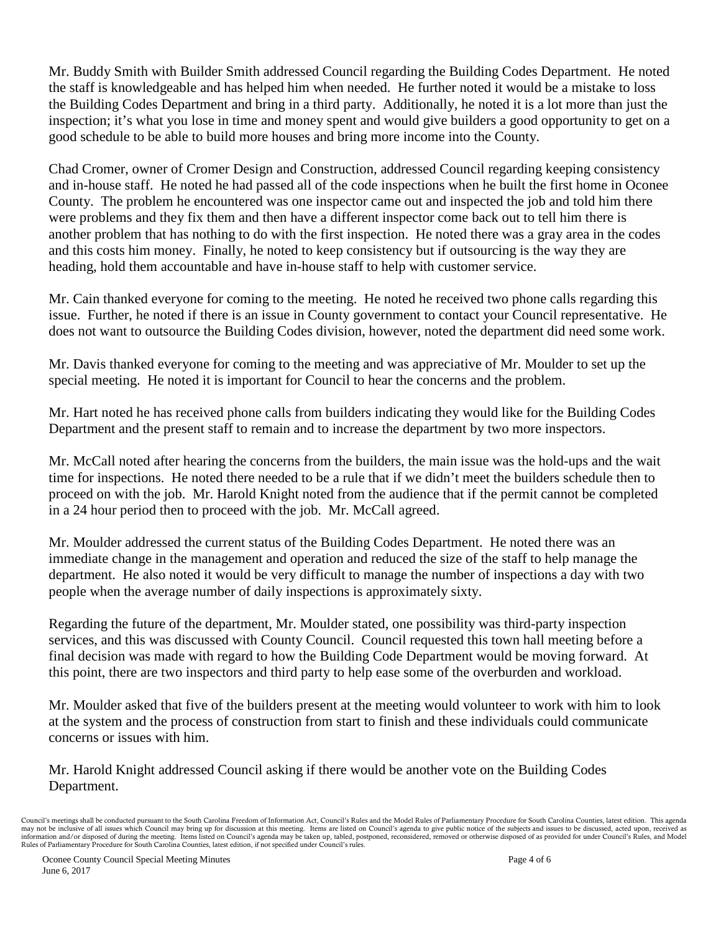Mr. Buddy Smith with Builder Smith addressed Council regarding the Building Codes Department. He noted the staff is knowledgeable and has helped him when needed. He further noted it would be a mistake to loss the Building Codes Department and bring in a third party. Additionally, he noted it is a lot more than just the inspection; it's what you lose in time and money spent and would give builders a good opportunity to get on a good schedule to be able to build more houses and bring more income into the County.

Chad Cromer, owner of Cromer Design and Construction, addressed Council regarding keeping consistency and in-house staff. He noted he had passed all of the code inspections when he built the first home in Oconee County. The problem he encountered was one inspector came out and inspected the job and told him there were problems and they fix them and then have a different inspector come back out to tell him there is another problem that has nothing to do with the first inspection. He noted there was a gray area in the codes and this costs him money. Finally, he noted to keep consistency but if outsourcing is the way they are heading, hold them accountable and have in-house staff to help with customer service.

Mr. Cain thanked everyone for coming to the meeting. He noted he received two phone calls regarding this issue. Further, he noted if there is an issue in County government to contact your Council representative. He does not want to outsource the Building Codes division, however, noted the department did need some work.

Mr. Davis thanked everyone for coming to the meeting and was appreciative of Mr. Moulder to set up the special meeting. He noted it is important for Council to hear the concerns and the problem.

Mr. Hart noted he has received phone calls from builders indicating they would like for the Building Codes Department and the present staff to remain and to increase the department by two more inspectors.

Mr. McCall noted after hearing the concerns from the builders, the main issue was the hold-ups and the wait time for inspections. He noted there needed to be a rule that if we didn't meet the builders schedule then to proceed on with the job. Mr. Harold Knight noted from the audience that if the permit cannot be completed in a 24 hour period then to proceed with the job. Mr. McCall agreed.

Mr. Moulder addressed the current status of the Building Codes Department. He noted there was an immediate change in the management and operation and reduced the size of the staff to help manage the department. He also noted it would be very difficult to manage the number of inspections a day with two people when the average number of daily inspections is approximately sixty.

Regarding the future of the department, Mr. Moulder stated, one possibility was third-party inspection services, and this was discussed with County Council. Council requested this town hall meeting before a final decision was made with regard to how the Building Code Department would be moving forward. At this point, there are two inspectors and third party to help ease some of the overburden and workload.

Mr. Moulder asked that five of the builders present at the meeting would volunteer to work with him to look at the system and the process of construction from start to finish and these individuals could communicate concerns or issues with him.

Mr. Harold Knight addressed Council asking if there would be another vote on the Building Codes Department.

Council's meetings shall be conducted pursuant to the South Carolina Freedom of Information Act, Council's Rules and the Model Rules of Parliamentary Procedure for South Carolina Counties, latest edition. This agenda may not be inclusive of all issues which Council may bring up for discussion at this meeting. Items are listed on Council's agenda to give public notice of the subjects and issues to be discussed, acted upon, received as information and/or disposed of during the meeting. Items listed on Council's agenda may be taken up, tabled, postponed, reconsidered, removed or otherwise disposed of as provided for under Council's Rules, and Model Rules of Parliamentary Procedure for South Carolina Counties, latest edition, if not specified under Council's rules.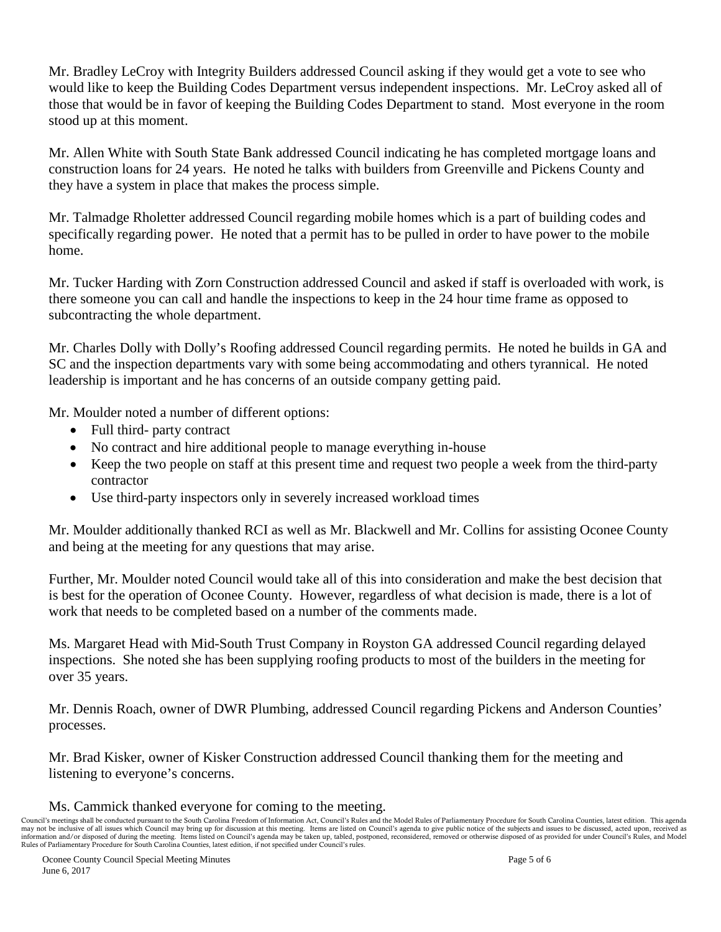Mr. Bradley LeCroy with Integrity Builders addressed Council asking if they would get a vote to see who would like to keep the Building Codes Department versus independent inspections. Mr. LeCroy asked all of those that would be in favor of keeping the Building Codes Department to stand. Most everyone in the room stood up at this moment.

Mr. Allen White with South State Bank addressed Council indicating he has completed mortgage loans and construction loans for 24 years. He noted he talks with builders from Greenville and Pickens County and they have a system in place that makes the process simple.

Mr. Talmadge Rholetter addressed Council regarding mobile homes which is a part of building codes and specifically regarding power. He noted that a permit has to be pulled in order to have power to the mobile home.

Mr. Tucker Harding with Zorn Construction addressed Council and asked if staff is overloaded with work, is there someone you can call and handle the inspections to keep in the 24 hour time frame as opposed to subcontracting the whole department.

Mr. Charles Dolly with Dolly's Roofing addressed Council regarding permits. He noted he builds in GA and SC and the inspection departments vary with some being accommodating and others tyrannical. He noted leadership is important and he has concerns of an outside company getting paid.

Mr. Moulder noted a number of different options:

- Full third- party contract
- No contract and hire additional people to manage everything in-house
- Keep the two people on staff at this present time and request two people a week from the third-party contractor
- Use third-party inspectors only in severely increased workload times

Mr. Moulder additionally thanked RCI as well as Mr. Blackwell and Mr. Collins for assisting Oconee County and being at the meeting for any questions that may arise.

Further, Mr. Moulder noted Council would take all of this into consideration and make the best decision that is best for the operation of Oconee County. However, regardless of what decision is made, there is a lot of work that needs to be completed based on a number of the comments made.

Ms. Margaret Head with Mid-South Trust Company in Royston GA addressed Council regarding delayed inspections. She noted she has been supplying roofing products to most of the builders in the meeting for over 35 years.

Mr. Dennis Roach, owner of DWR Plumbing, addressed Council regarding Pickens and Anderson Counties' processes.

Mr. Brad Kisker, owner of Kisker Construction addressed Council thanking them for the meeting and listening to everyone's concerns.

## Ms. Cammick thanked everyone for coming to the meeting.

Council's meetings shall be conducted pursuant to the South Carolina Freedom of Information Act, Council's Rules and the Model Rules of Parliamentary Procedure for South Carolina Counties, latest edition. This agenda may not be inclusive of all issues which Council may bring up for discussion at this meeting. Items are listed on Council's agenda to give public notice of the subjects and issues to be discussed, acted upon, received as information and/or disposed of during the meeting. Items listed on Council's agenda may be taken up, tabled, postponed, reconsidered, removed or otherwise disposed of as provided for under Council's Rules, and Model<br>Rules